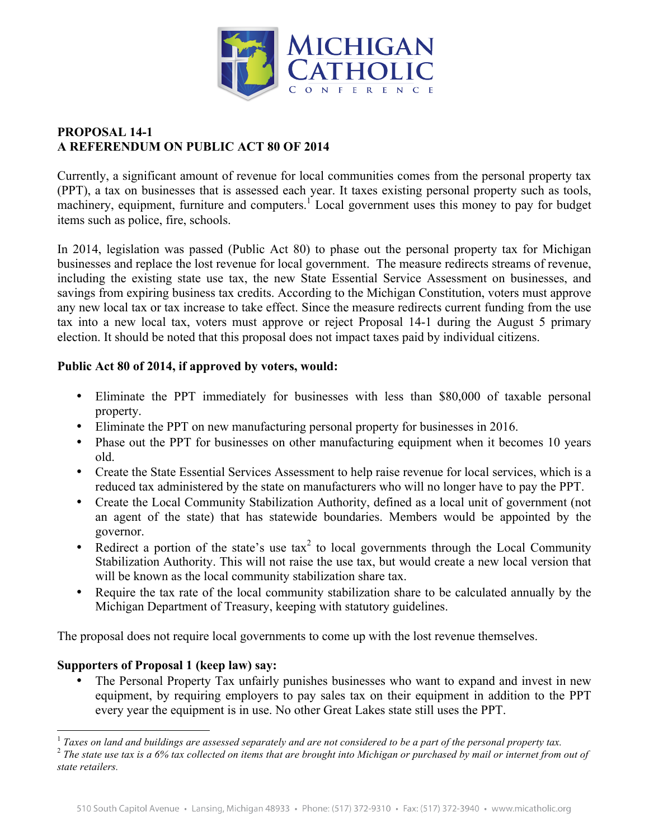

## **PROPOSAL 14-1 A REFERENDUM ON PUBLIC ACT 80 OF 2014**

Currently, a significant amount of revenue for local communities comes from the personal property tax (PPT), a tax on businesses that is assessed each year. It taxes existing personal property such as tools, machinery, equipment, furniture and computers.<sup>1</sup> Local government uses this money to pay for budget items such as police, fire, schools.

In 2014, legislation was passed (Public Act 80) to phase out the personal property tax for Michigan businesses and replace the lost revenue for local government. The measure redirects streams of revenue, including the existing state use tax, the new State Essential Service Assessment on businesses, and savings from expiring business tax credits. According to the Michigan Constitution, voters must approve any new local tax or tax increase to take effect. Since the measure redirects current funding from the use tax into a new local tax, voters must approve or reject Proposal 14-1 during the August 5 primary election. It should be noted that this proposal does not impact taxes paid by individual citizens.

## **Public Act 80 of 2014, if approved by voters, would:**

- Eliminate the PPT immediately for businesses with less than \$80,000 of taxable personal property.
- Eliminate the PPT on new manufacturing personal property for businesses in 2016.
- Phase out the PPT for businesses on other manufacturing equipment when it becomes 10 years old.
- Create the State Essential Services Assessment to help raise revenue for local services, which is a reduced tax administered by the state on manufacturers who will no longer have to pay the PPT.
- Create the Local Community Stabilization Authority, defined as a local unit of government (not an agent of the state) that has statewide boundaries. Members would be appointed by the governor.
- Redirect a portion of the state's use  $\text{tax}^2$  to local governments through the Local Community Stabilization Authority. This will not raise the use tax, but would create a new local version that will be known as the local community stabilization share tax.
- Require the tax rate of the local community stabilization share to be calculated annually by the Michigan Department of Treasury, keeping with statutory guidelines.

The proposal does not require local governments to come up with the lost revenue themselves.

## **Supporters of Proposal 1 (keep law) say:**

• The Personal Property Tax unfairly punishes businesses who want to expand and invest in new equipment, by requiring employers to pay sales tax on their equipment in addition to the PPT every year the equipment is in use. No other Great Lakes state still uses the PPT.

<sup>&</sup>lt;sup>1</sup> Taxes on land and buildings are assessed separately and are not considered to be a part of the personal property tax.<br><sup>2</sup> The state use tax is a 6% tax collected on items that are brought into Michigan or purchased by

*state retailers.*